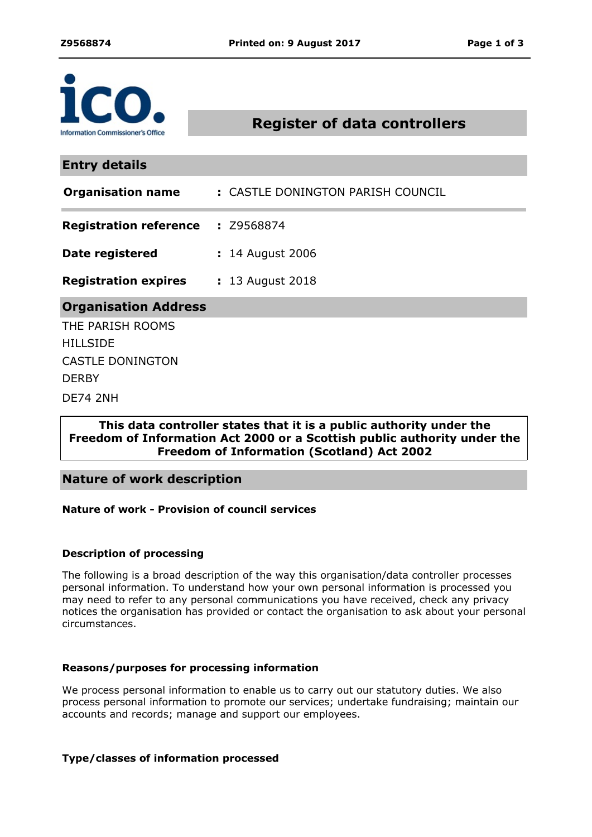

**Register of data controllers**

**Entry details**

| <b>Organisation name</b>                 | : CASTLE DONINGTON PARISH COUNCIL |
|------------------------------------------|-----------------------------------|
| <b>Registration reference : Z9568874</b> |                                   |
| Date registered                          | : 14 August 2006                  |
| <b>Registration expires</b>              | : 13 August 2018                  |
| <b>Organisation Address</b>              |                                   |
| THE PARISH ROOMS                         |                                   |
| <b>HILLSIDE</b>                          |                                   |
| <b>CASTLE DONINGTON</b>                  |                                   |
| <b>DERBY</b>                             |                                   |
| DE74 2NH                                 |                                   |

# **This data controller states that it is a public authority under the Freedom of Information Act 2000 or a Scottish public authority under the Freedom of Information (Scotland) Act 2002**

## **Nature of work description**

### **Nature of work - Provision of council services**

### **Description of processing**

The following is a broad description of the way this organisation/data controller processes personal information. To understand how your own personal information is processed you may need to refer to any personal communications you have received, check any privacy notices the organisation has provided or contact the organisation to ask about your personal circumstances.

### **Reasons/purposes for processing information**

We process personal information to enable us to carry out our statutory duties. We also process personal information to promote our services; undertake fundraising; maintain our accounts and records; manage and support our employees.

### **Type/classes of information processed**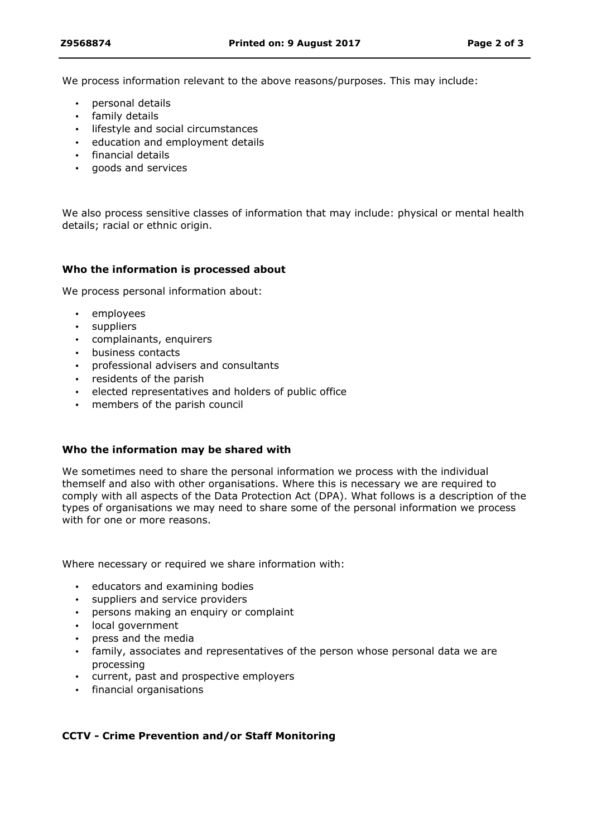We process information relevant to the above reasons/purposes. This may include:

- personal details
- family details
- **·** lifestyle and social circumstances
- education and employment details
- financial details
- goods and services

We also process sensitive classes of information that may include: physical or mental health details; racial or ethnic origin.

### **Who the information is processed about**

We process personal information about:

- employees
- suppliers
- complainants, enquirers
- business contacts
- professional advisers and consultants
- residents of the parish
- elected representatives and holders of public office
- members of the parish council

#### **Who the information may be shared with**

We sometimes need to share the personal information we process with the individual themself and also with other organisations. Where this is necessary we are required to comply with all aspects of the Data Protection Act (DPA). What follows is a description of the types of organisations we may need to share some of the personal information we process with for one or more reasons.

Where necessary or required we share information with:

- educators and examining bodies
- suppliers and service providers
- persons making an enquiry or complaint
- local government
- press and the media
- family, associates and representatives of the person whose personal data we are processing
- current, past and prospective employers
- financial organisations

### **CCTV - Crime Prevention and/or Staff Monitoring**